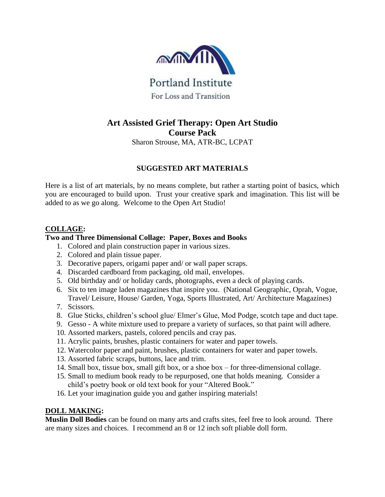

# **Art Assisted Grief Therapy: Open Art Studio Course Pack** Sharon Strouse, MA, ATR-BC, LCPAT

# **SUGGESTED ART MATERIALS**

Here is a list of art materials, by no means complete, but rather a starting point of basics, which you are encouraged to build upon. Trust your creative spark and imagination. This list will be added to as we go along. Welcome to the Open Art Studio!

## **COLLAGE:**

## **Two and Three Dimensional Collage: Paper, Boxes and Books**

- 1. Colored and plain construction paper in various sizes.
- 2. Colored and plain tissue paper.
- 3. Decorative papers, origami paper and/ or wall paper scraps.
- 4. Discarded cardboard from packaging, old mail, envelopes.
- 5. Old birthday and/ or holiday cards, photographs, even a deck of playing cards.
- 6. Six to ten image laden magazines that inspire you. (National Geographic, Oprah, Vogue, Travel/ Leisure, House/ Garden, Yoga, Sports Illustrated, Art/ Architecture Magazines)
- 7. Scissors.
- 8. Glue Sticks, children's school glue/ Elmer's Glue, Mod Podge, scotch tape and duct tape.
- 9. Gesso A white mixture used to prepare a variety of surfaces, so that paint will adhere.
- 10. Assorted markers, pastels, colored pencils and cray pas.
- 11. Acrylic paints, brushes, plastic containers for water and paper towels.
- 12. Watercolor paper and paint, brushes, plastic containers for water and paper towels.
- 13. Assorted fabric scraps, buttons, lace and trim.
- 14. Small box, tissue box, small gift box, or a shoe box for three-dimensional collage.
- 15. Small to medium book ready to be repurposed, one that holds meaning. Consider a child's poetry book or old text book for your "Altered Book."
- 16. Let your imagination guide you and gather inspiring materials!

# **DOLL MAKING:**

**Muslin Doll Bodies** can be found on many arts and crafts sites, feel free to look around. There are many sizes and choices. I recommend an 8 or 12 inch soft pliable doll form.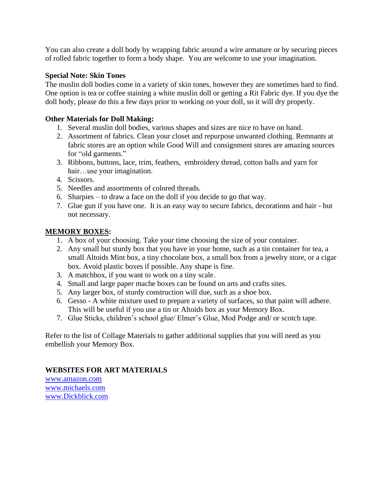You can also create a doll body by wrapping fabric around a wire armature or by securing pieces of rolled fabric together to form a body shape. You are welcome to use your imagination.

### **Special Note: Skin Tones**

The muslin doll bodies come in a variety of skin tones, however they are sometimes hard to find. One option is tea or coffee staining a white muslin doll or getting a Rit Fabric dye. If you dye the doll body, please do this a few days prior to working on your doll, so it will dry properly.

### **Other Materials for Doll Making:**

- 1. Several muslin doll bodies, various shapes and sizes are nice to have on hand.
- 2. Assortment of fabrics. Clean your closet and repurpose unwanted clothing. Remnants at fabric stores are an option while Good Will and consignment stores are amazing sources for "old garments."
- 3. Ribbons, buttons, lace, trim, feathers, embroidery thread, cotton balls and yarn for hair…use your imagination.
- 4. Scissors.
- 5. Needles and assortments of colored threads.
- 6. Sharpies to draw a face on the doll if you decide to go that way.
- 7. Glue gun if you have one. It is an easy way to secure fabrics, decorations and hair but not necessary.

### **MEMORY BOXES:**

- 1. A box of your choosing. Take your time choosing the size of your container.
- 2. Any small but sturdy box that you have in your home, such as a tin container for tea, a small Altoids Mint box, a tiny chocolate box, a small box from a jewelry store, or a cigar box. Avoid plastic boxes if possible. Any shape is fine.
- 3. A matchbox, if you want to work on a tiny scale.
- 4. Small and large paper mache boxes can be found on arts and crafts sites.
- 5. Any larger box, of sturdy construction will due, such as a shoe box.
- 6. Gesso A white mixture used to prepare a variety of surfaces, so that paint will adhere. This will be useful if you use a tin or Altoids box as your Memory Box.
- 7. Glue Sticks, children's school glue/ Elmer's Glue, Mod Podge and/ or scotch tape.

Refer to the list of Collage Materials to gather additional supplies that you will need as you embellish your Memory Box.

## **WEBSITES FOR ART MATERIALS**

[www.amazon.com](http://www.amazon.com/) [www.michaels.com](http://www.michaels.com/) [www.Dickblick.com](http://www.dickblick.com/)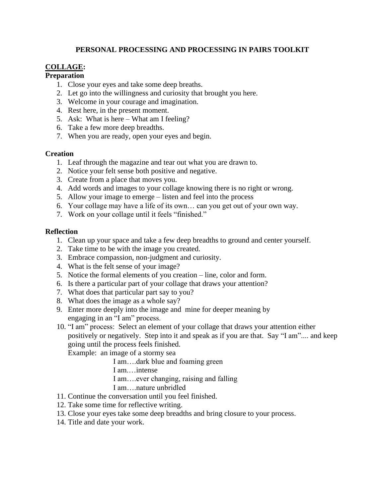## **PERSONAL PROCESSING AND PROCESSING IN PAIRS TOOLKIT**

# **COLLAGE:**

#### **Preparation**

- 1. Close your eyes and take some deep breaths.
- 2. Let go into the willingness and curiosity that brought you here.
- 3. Welcome in your courage and imagination.
- 4. Rest here, in the present moment.
- 5. Ask: What is here What am I feeling?
- 6. Take a few more deep breadths.
- 7. When you are ready, open your eyes and begin.

### **Creation**

- 1. Leaf through the magazine and tear out what you are drawn to.
- 2. Notice your felt sense both positive and negative.
- 3. Create from a place that moves you.
- 4. Add words and images to your collage knowing there is no right or wrong.
- 5. Allow your image to emerge listen and feel into the process
- 6. Your collage may have a life of its own… can you get out of your own way.
- 7. Work on your collage until it feels "finished."

### **Reflection**

- 1. Clean up your space and take a few deep breadths to ground and center yourself.
- 2. Take time to be with the image you created.
- 3. Embrace compassion, non-judgment and curiosity.
- 4. What is the felt sense of your image?
- 5. Notice the formal elements of you creation line, color and form.
- 6. Is there a particular part of your collage that draws your attention?
- 7. What does that particular part say to you?
- 8. What does the image as a whole say?
- 9. Enter more deeply into the image and mine for deeper meaning by engaging in an "I am" process.
- 10. "I am" process: Select an element of your collage that draws your attention either positively or negatively. Step into it and speak as if you are that. Say "I am".... and keep going until the process feels finished.

Example: an image of a stormy sea

I am….dark blue and foaming green

I am.…intense

I am….ever changing, raising and falling

- I am….nature unbridled
- 11. Continue the conversation until you feel finished.
- 12. Take some time for reflective writing.
- 13. Close your eyes take some deep breadths and bring closure to your process.
- 14. Title and date your work.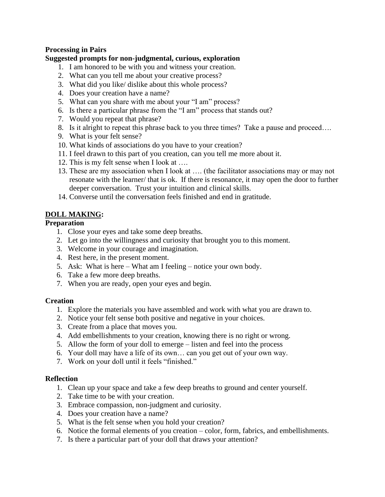## **Processing in Pairs**

## **Suggested prompts for non-judgmental, curious, exploration**

- 1. I am honored to be with you and witness your creation.
- 2. What can you tell me about your creative process?
- 3. What did you like/ dislike about this whole process?
- 4. Does your creation have a name?
- 5. What can you share with me about your "I am" process?
- 6. Is there a particular phrase from the "I am" process that stands out?
- 7. Would you repeat that phrase?
- 8. Is it alright to repeat this phrase back to you three times? Take a pause and proceed….
- 9. What is your felt sense?
- 10. What kinds of associations do you have to your creation?
- 11. I feel drawn to this part of you creation, can you tell me more about it.
- 12. This is my felt sense when I look at ….
- 13. These are my association when I look at …. (the facilitator associations may or may not resonate with the learner/ that is ok. If there is resonance, it may open the door to further deeper conversation. Trust your intuition and clinical skills.
- 14. Converse until the conversation feels finished and end in gratitude.

## **DOLL MAKING:**

### **Preparation**

- 1. Close your eyes and take some deep breaths.
- 2. Let go into the willingness and curiosity that brought you to this moment.
- 3. Welcome in your courage and imagination.
- 4. Rest here, in the present moment.
- 5. Ask: What is here What am I feeling notice your own body.
- 6. Take a few more deep breaths.
- 7. When you are ready, open your eyes and begin.

#### **Creation**

- 1. Explore the materials you have assembled and work with what you are drawn to.
- 2. Notice your felt sense both positive and negative in your choices.
- 3. Create from a place that moves you.
- 4. Add embellishments to your creation, knowing there is no right or wrong.
- 5. Allow the form of your doll to emerge listen and feel into the process
- 6. Your doll may have a life of its own… can you get out of your own way.
- 7. Work on your doll until it feels "finished."

#### **Reflection**

- 1. Clean up your space and take a few deep breaths to ground and center yourself.
- 2. Take time to be with your creation.
- 3. Embrace compassion, non-judgment and curiosity.
- 4. Does your creation have a name?
- 5. What is the felt sense when you hold your creation?
- 6. Notice the formal elements of you creation color, form, fabrics, and embellishments.
- 7. Is there a particular part of your doll that draws your attention?